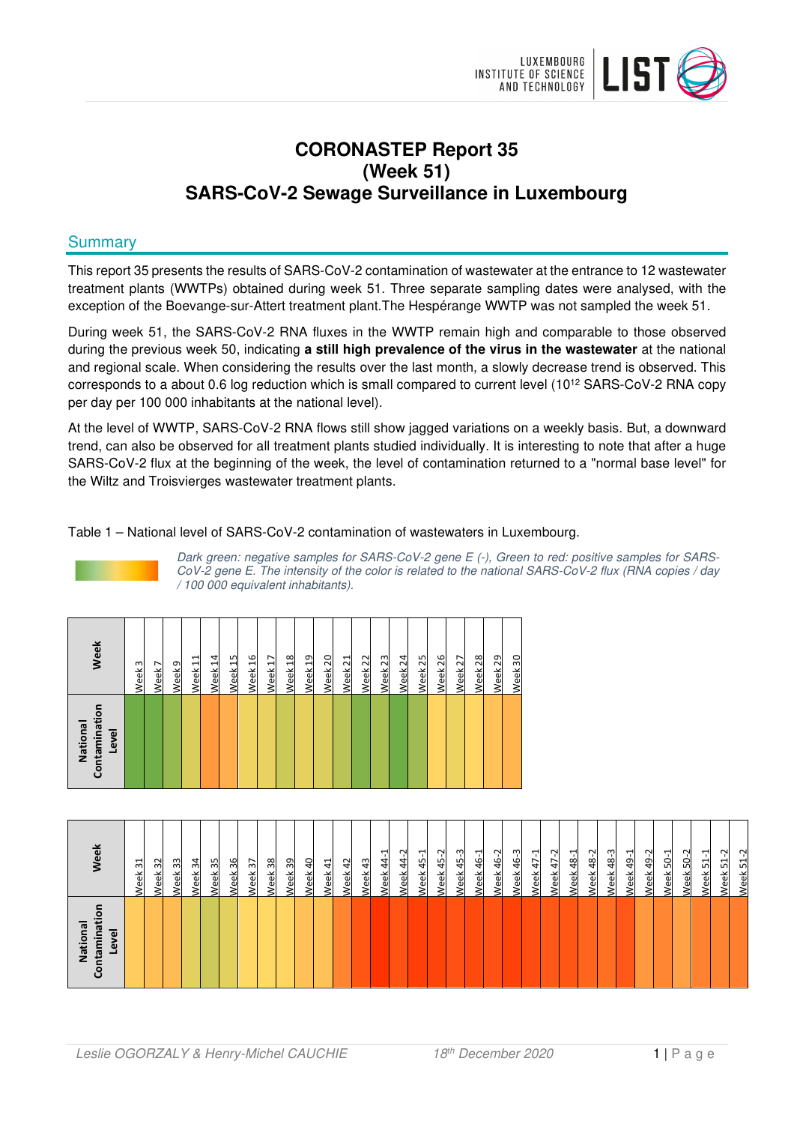

# **CORONASTEP Report 35 (Week 51) SARS-CoV-2 Sewage Surveillance in Luxembourg**

### **Summary**

This report 35 presents the results of SARS-CoV-2 contamination of wastewater at the entrance to 12 wastewater treatment plants (WWTPs) obtained during week 51. Three separate sampling dates were analysed, with the exception of the Boevange-sur-Attert treatment plant.The Hespérange WWTP was not sampled the week 51.

During week 51, the SARS-CoV-2 RNA fluxes in the WWTP remain high and comparable to those observed during the previous week 50, indicating **a still high prevalence of the virus in the wastewater** at the national and regional scale. When considering the results over the last month, a slowly decrease trend is observed. This corresponds to a about 0.6 log reduction which is small compared to current level (10<sup>12</sup> SARS-CoV-2 RNA copy per day per 100 000 inhabitants at the national level).

At the level of WWTP, SARS-CoV-2 RNA flows still show jagged variations on a weekly basis. But, a downward trend, can also be observed for all treatment plants studied individually. It is interesting to note that after a huge SARS-CoV-2 flux at the beginning of the week, the level of contamination returned to a "normal base level" for the Wiltz and Troisvierges wastewater treatment plants.

Table 1 – National level of SARS-CoV-2 contamination of wastewaters in Luxembourg.



Dark green: negative samples for SARS-CoV-2 gene E (-), Green to red: positive samples for SARS-CoV-2 gene E. The intensity of the color is related to the national SARS-CoV-2 flux (RNA copies / day / 100 000 equivalent inhabitants).

| Contaminatio<br>National<br>Level | Week                   |
|-----------------------------------|------------------------|
|                                   | 3<br>Week              |
|                                   | $\overline{ }$<br>Week |
|                                   | Week <sub>9</sub>      |
|                                   | Week 11                |
|                                   | Week 14                |
|                                   | Week <sub>15</sub>     |
|                                   | Week 16                |
|                                   | Week 17                |
|                                   | Week <sub>18</sub>     |
|                                   | Week 19                |
|                                   | Week 20                |
|                                   | Week <sub>21</sub>     |
|                                   | Week 22                |
|                                   | Week <sub>23</sub>     |
|                                   | Week 24                |
|                                   | Week <sub>25</sub>     |
|                                   | Week <sub>26</sub>     |
|                                   | Week <sub>27</sub>     |
|                                   | Week <sub>28</sub>     |
|                                   | Week 29                |
|                                   | Week 30                |

| National<br>tamina<br>Level | eek                                               |
|-----------------------------|---------------------------------------------------|
|                             | ٣<br>$\sim$<br>읫                                  |
|                             | $\approx$<br>/eek                                 |
|                             | 33<br><b>Veek</b>                                 |
|                             | $\frac{34}{3}$<br>Week                            |
|                             | 35<br>Week                                        |
|                             | 36<br>Week                                        |
|                             | Week 37                                           |
|                             | 38<br>Week                                        |
|                             | Week 39                                           |
|                             | 40<br>Week                                        |
|                             | $\overline{41}$<br>Week                           |
|                             | Week 42                                           |
|                             | 43<br>Week                                        |
|                             | ↤<br>$\overline{4}$<br>Week                       |
|                             | $\sim$<br>44<br>Veek                              |
|                             | $\overline{\phantom{0}}$<br>$\frac{1}{4}$<br>Veek |
|                             | Ņ<br>$\ddot{a}$<br>Veek                           |
|                             | ო<br>45<br><b>Neek</b>                            |
|                             | 46-1<br><b>Week</b>                               |
|                             | Ņ<br>\$<br>Week                                   |
|                             | 46-3<br>Week                                      |
|                             | $47 - 1$<br>Week                                  |
|                             | $47 - 2$<br>Neek                                  |
|                             | 48-1<br>Week                                      |
|                             | 48-2<br>Week                                      |
|                             | <b>Neek 48-3</b>                                  |
|                             | $49 - 1$<br>Week                                  |
|                             | Week 49-2                                         |
|                             | $50-1$<br>Week.                                   |
|                             | Ņ<br>SÓ.<br>veek                                  |
|                             | ᡕ<br>51<br>/eek                                   |
|                             | $\sim$<br>임<br>꼯<br>ق                             |
|                             | $\sim$<br>임<br><u>eek</u>                         |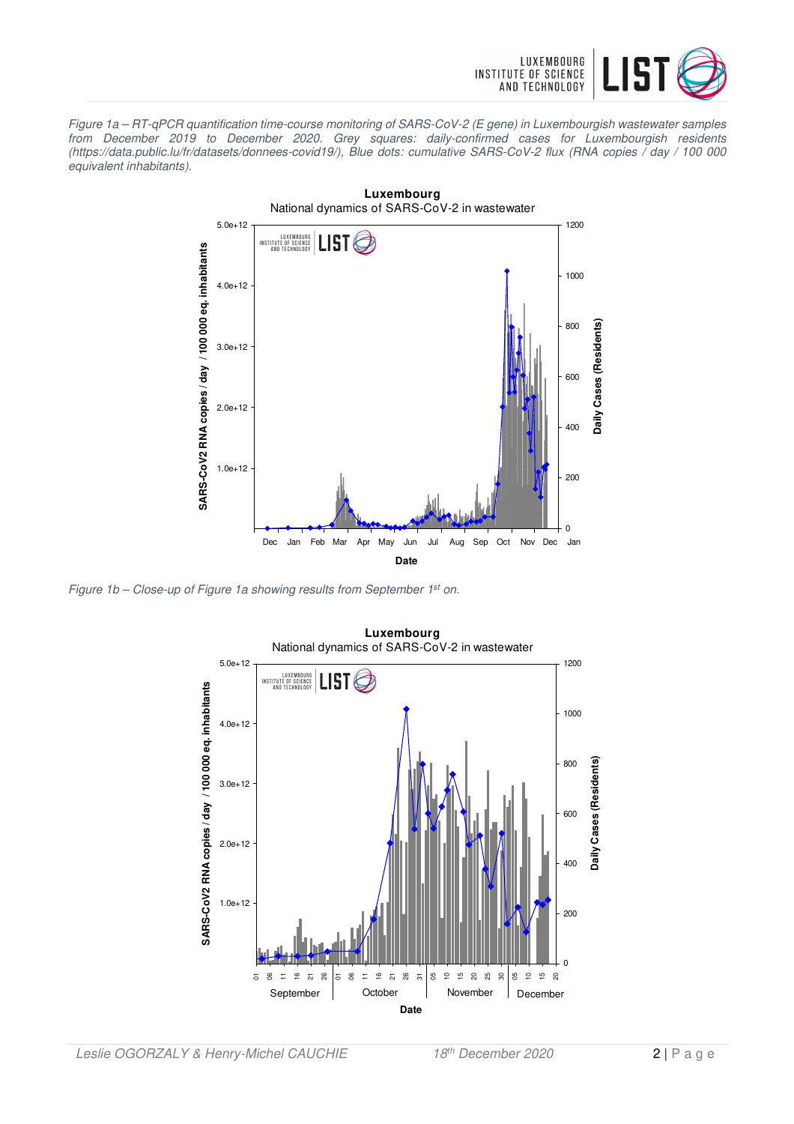

Figure 1a – RT-qPCR quantification time-course monitoring of SARS-CoV-2 (E gene) in Luxembourgish wastewater samples from December 2019 to December 2020. Grey squares: daily-confirmed cases for Luxembourgish residents (https://data.public.lu/fr/datasets/donnees-covid19/), Blue dots: cumulative SARS-CoV-2 flux (RNA copies / day / 100 000 equivalent inhabitants).



Figure 1b - Close-up of Figure 1a showing results from September 1st on.

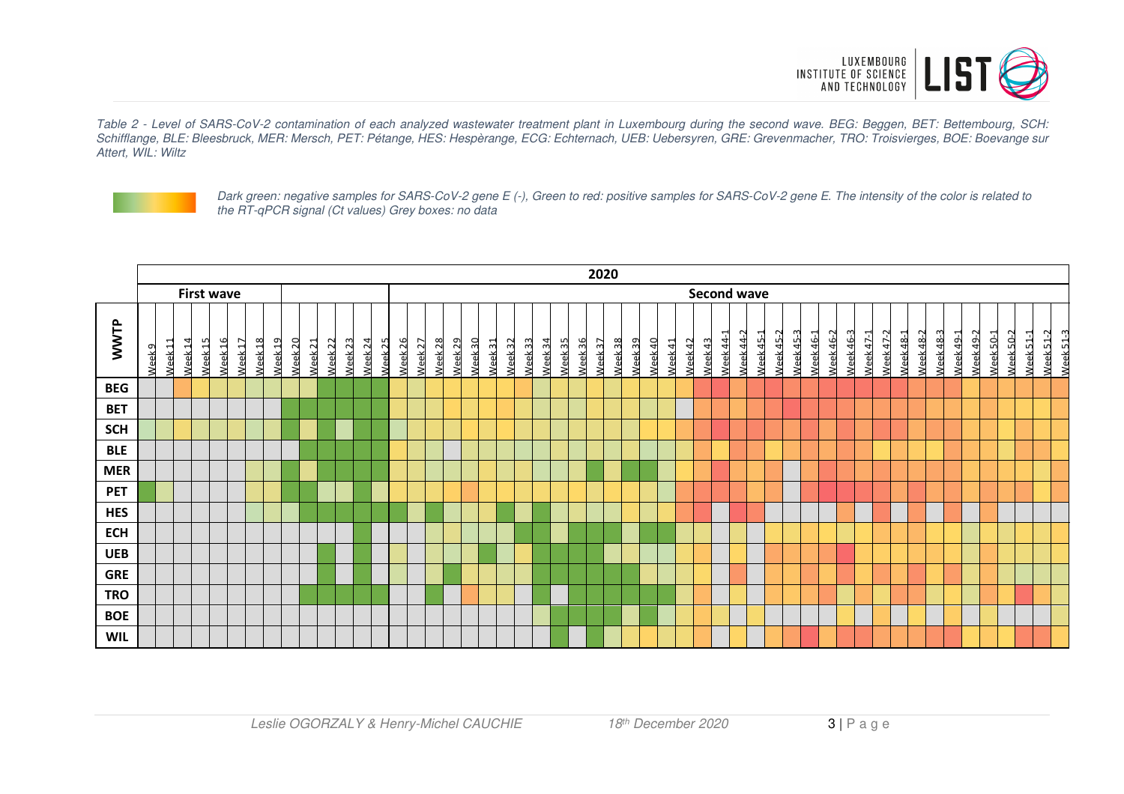

Table 2 - Level of SARS-CoV-2 contamination of each analyzed wastewater treatment plant in Luxembourg during the second wave. BEG: Beggen, BET: Bettembourg, SCH: Schifflange, BLE: Bleesbruck, MER: Mersch, PET: Pétange, HES: Hespèrange, ECG: Echternach, UEB: Uebersyren, GRE: Grevenmacher, TRO: Troisvierges, BOE: Boevange sur Attert, WIL: Wiltz



Dark green: negative samples for SARS-CoV-2 gene E (-), Green to red: positive samples for SARS-CoV-2 gene E. The intensity of the color is related to the RT-qPCR signal (Ct values) Grey boxes: no data

|            | 2020              |                    |                    |                    |                    |                                          |                    |                    |                    |                    |                    |                    |                    |                    |                    |                    |                                          |                    |                    |                    |                    |                    |         |                    |                    |         |         |                    |                |                    |                  |                  |           |                  |                  |                  |                  |                  |                  |                  |           |                  |                  |                  |           |           |                                  |           |                      |
|------------|-------------------|--------------------|--------------------|--------------------|--------------------|------------------------------------------|--------------------|--------------------|--------------------|--------------------|--------------------|--------------------|--------------------|--------------------|--------------------|--------------------|------------------------------------------|--------------------|--------------------|--------------------|--------------------|--------------------|---------|--------------------|--------------------|---------|---------|--------------------|----------------|--------------------|------------------|------------------|-----------|------------------|------------------|------------------|------------------|------------------|------------------|------------------|-----------|------------------|------------------|------------------|-----------|-----------|----------------------------------|-----------|----------------------|
|            | <b>First wave</b> |                    |                    |                    |                    |                                          |                    |                    |                    |                    |                    |                    |                    |                    |                    |                    |                                          |                    |                    |                    |                    |                    |         |                    |                    |         |         |                    |                | <b>Second wave</b> |                  |                  |           |                  |                  |                  |                  |                  |                  |                  |           |                  |                  |                  |           |           |                                  |           |                      |
| WWTP       | Week <sub>9</sub> | Week <sub>11</sub> | Neek <sub>14</sub> | Week <sub>15</sub> | Neek <sub>16</sub> | Week <sub>18</sub><br>Week <sub>17</sub> | Week <sub>19</sub> | Week <sub>20</sub> | Neek <sub>21</sub> | Week <sub>22</sub> | Week <sub>23</sub> | Neek <sub>24</sub> | Week <sub>25</sub> | Neek <sub>26</sub> | Week <sub>27</sub> | Neek <sub>28</sub> | Veek <sub>30</sub><br>Week <sub>29</sub> | Week <sub>31</sub> | Neek <sub>32</sub> | Week <sub>33</sub> | Week <sub>34</sub> | Week <sub>35</sub> | Week 36 | Neek <sub>37</sub> | Week <sub>38</sub> | Week 39 | Week 40 | Neek <sub>41</sub> | <b>Neek 42</b> | Week43             | <b>Veek 44-1</b> | <b>Neek 44-2</b> | Veek 45-1 | <b>Neek 45-2</b> | <b>Neek 45-3</b> | <b>Neek 46-1</b> | <b>Veek 46-2</b> | <b>Neek 46-3</b> | <b>Veek 47-1</b> | <b>Neek 47-2</b> | Veek 48-1 | <b>Neek 48-2</b> | <b>Neek 48-3</b> | <b>Neek 49-1</b> | Week 49-2 | Week 50-1 | <b>Neek 50-2</b><br>$N$ eek 51-1 | Week 51-2 | Week <sub>51-3</sub> |
| <b>BEG</b> |                   |                    |                    |                    |                    |                                          |                    |                    |                    |                    |                    |                    |                    |                    |                    |                    |                                          |                    |                    |                    |                    |                    |         |                    |                    |         |         |                    |                |                    |                  |                  |           |                  |                  |                  |                  |                  |                  |                  |           |                  |                  |                  |           |           |                                  |           |                      |
| <b>BET</b> |                   |                    |                    |                    |                    |                                          |                    |                    |                    |                    |                    |                    |                    |                    |                    |                    |                                          |                    |                    |                    |                    |                    |         |                    |                    |         |         |                    |                |                    |                  |                  |           |                  |                  |                  |                  |                  |                  |                  |           |                  |                  |                  |           |           |                                  |           |                      |
| <b>SCH</b> |                   |                    |                    |                    |                    |                                          |                    |                    |                    |                    |                    |                    |                    |                    |                    |                    |                                          |                    |                    |                    |                    |                    |         |                    |                    |         |         |                    |                |                    |                  |                  |           |                  |                  |                  |                  |                  |                  |                  |           |                  |                  |                  |           |           |                                  |           |                      |
| <b>BLE</b> |                   |                    |                    |                    |                    |                                          |                    |                    |                    |                    |                    |                    |                    |                    |                    |                    |                                          |                    |                    |                    |                    |                    |         |                    |                    |         |         |                    |                |                    |                  |                  |           |                  |                  |                  |                  |                  |                  |                  |           |                  |                  |                  |           |           |                                  |           |                      |
| <b>MER</b> |                   |                    |                    |                    |                    |                                          |                    |                    |                    |                    |                    |                    |                    |                    |                    |                    |                                          |                    |                    |                    |                    |                    |         |                    |                    |         |         |                    |                |                    |                  |                  |           |                  |                  |                  |                  |                  |                  |                  |           |                  |                  |                  |           |           |                                  |           |                      |
| <b>PET</b> |                   |                    |                    |                    |                    |                                          |                    |                    |                    |                    |                    |                    |                    |                    |                    |                    |                                          |                    |                    |                    |                    |                    |         |                    |                    |         |         |                    |                |                    |                  |                  |           |                  |                  |                  |                  |                  |                  |                  |           |                  |                  |                  |           |           |                                  |           |                      |
| <b>HES</b> |                   |                    |                    |                    |                    |                                          |                    |                    |                    |                    |                    |                    |                    |                    |                    |                    |                                          |                    |                    |                    |                    |                    |         |                    |                    |         |         |                    |                |                    |                  |                  |           |                  |                  |                  |                  |                  |                  |                  |           |                  |                  |                  |           |           |                                  |           |                      |
| <b>ECH</b> |                   |                    |                    |                    |                    |                                          |                    |                    |                    |                    |                    |                    |                    |                    |                    |                    |                                          |                    |                    |                    |                    |                    |         |                    |                    |         |         |                    |                |                    |                  |                  |           |                  |                  |                  |                  |                  |                  |                  |           |                  |                  |                  |           |           |                                  |           |                      |
| <b>UEB</b> |                   |                    |                    |                    |                    |                                          |                    |                    |                    |                    |                    |                    |                    |                    |                    |                    |                                          |                    |                    |                    |                    |                    |         |                    |                    |         |         |                    |                |                    |                  |                  |           |                  |                  |                  |                  |                  |                  |                  |           |                  |                  |                  |           |           |                                  |           |                      |
| <b>GRE</b> |                   |                    |                    |                    |                    |                                          |                    |                    |                    |                    |                    |                    |                    |                    |                    |                    |                                          |                    |                    |                    |                    |                    |         |                    |                    |         |         |                    |                |                    |                  |                  |           |                  |                  |                  |                  |                  |                  |                  |           |                  |                  |                  |           |           |                                  |           |                      |
| <b>TRO</b> |                   |                    |                    |                    |                    |                                          |                    |                    |                    |                    |                    |                    |                    |                    |                    |                    |                                          |                    |                    |                    |                    |                    |         |                    |                    |         |         |                    |                |                    |                  |                  |           |                  |                  |                  |                  |                  |                  |                  |           |                  |                  |                  |           |           |                                  |           |                      |
| <b>BOE</b> |                   |                    |                    |                    |                    |                                          |                    |                    |                    |                    |                    |                    |                    |                    |                    |                    |                                          |                    |                    |                    |                    |                    |         |                    |                    |         |         |                    |                |                    |                  |                  |           |                  |                  |                  |                  |                  |                  |                  |           |                  |                  |                  |           |           |                                  |           |                      |
| <b>WIL</b> |                   |                    |                    |                    |                    |                                          |                    |                    |                    |                    |                    |                    |                    |                    |                    |                    |                                          |                    |                    |                    |                    |                    |         |                    |                    |         |         |                    |                |                    |                  |                  |           |                  |                  |                  |                  |                  |                  |                  |           |                  |                  |                  |           |           |                                  |           |                      |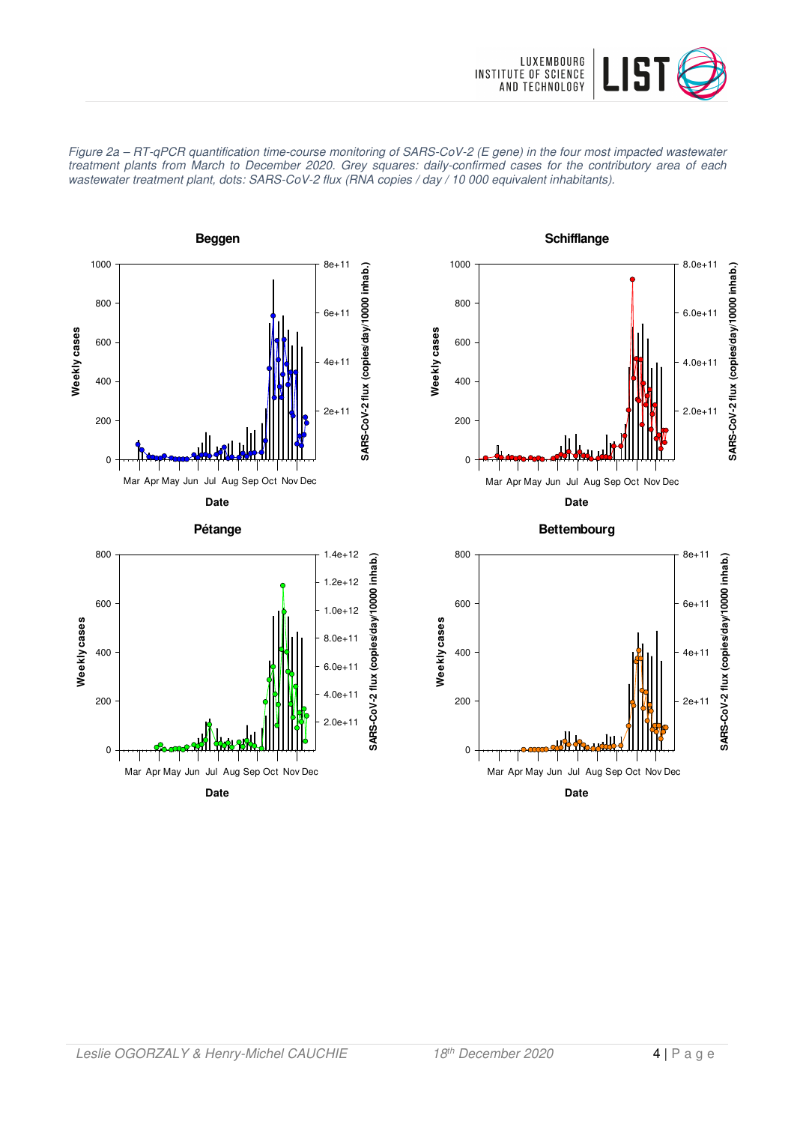







**Bettembourg**



**Date** Mar Apr May Jun Jul Aug Sep Oct Nov Dec 2.0e+11

SARS-CoV-2 flux

4.0e+11

6.0e+11

0

200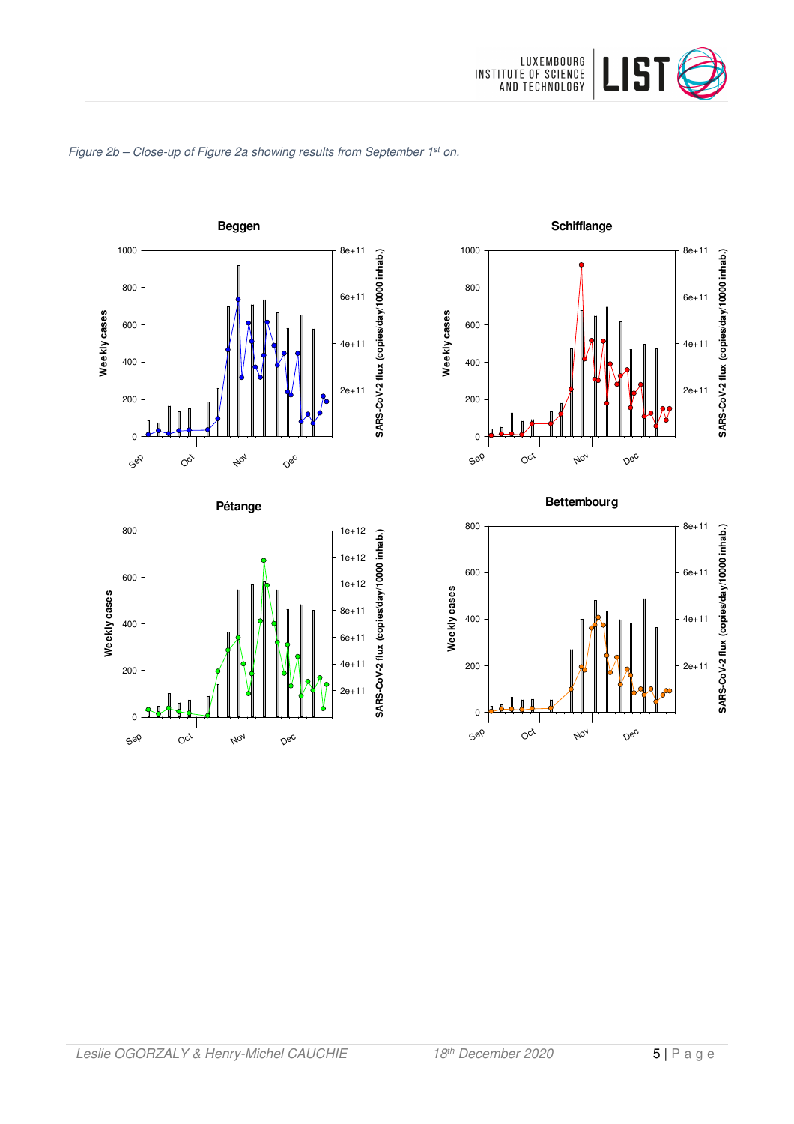

### Figure 2b - Close-up of Figure 2a showing results from September 1st on.









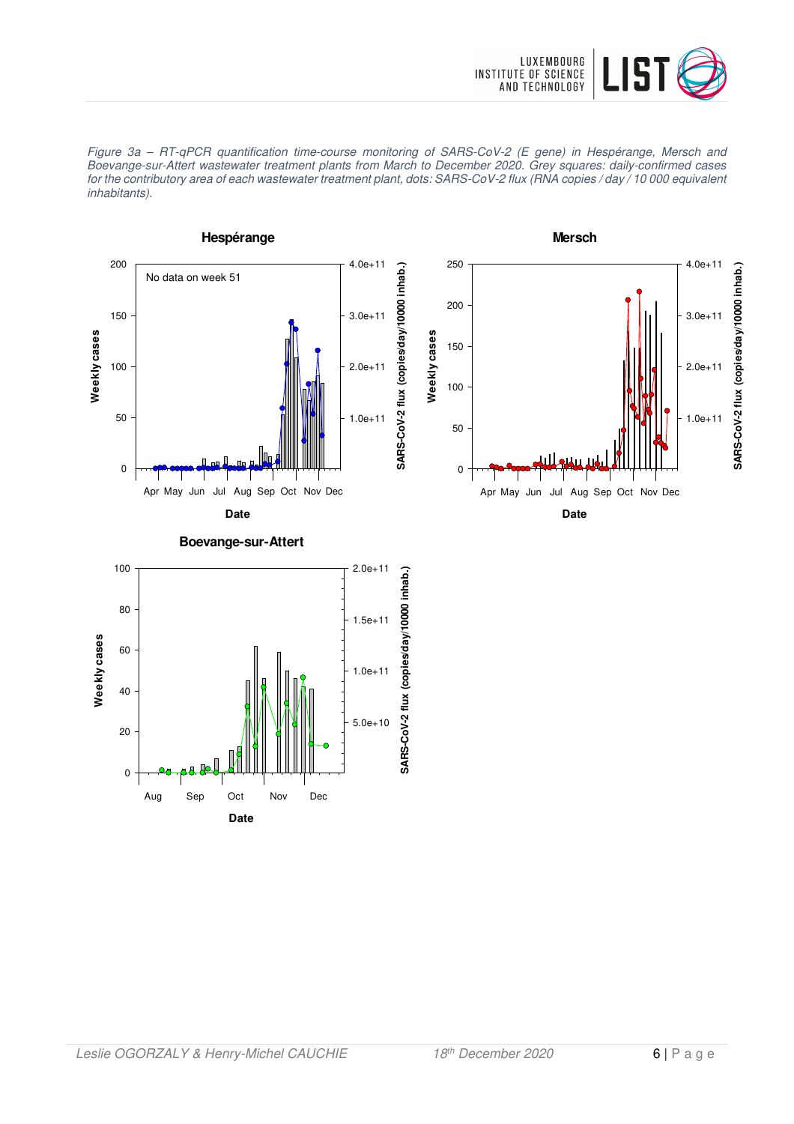



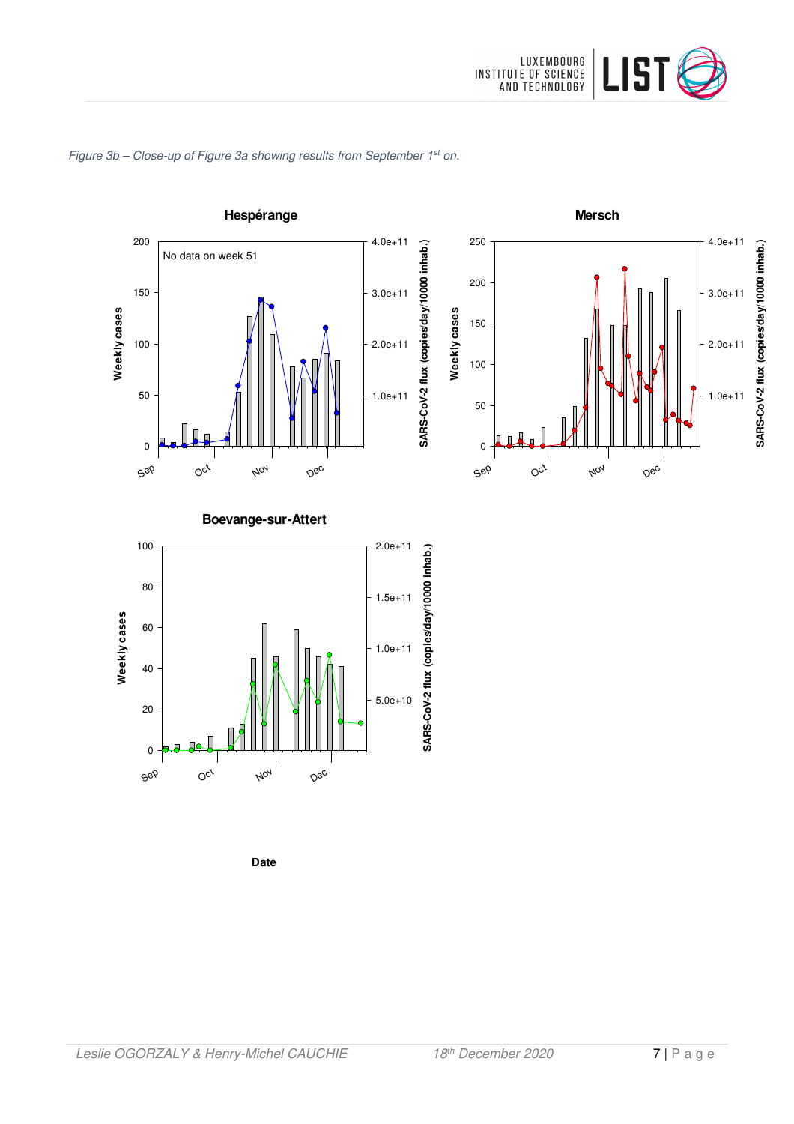

### Figure 3b - Close-up of Figure 3a showing results from September 1<sup>st</sup> on.





**Boevange-sur-Attert**



**Date**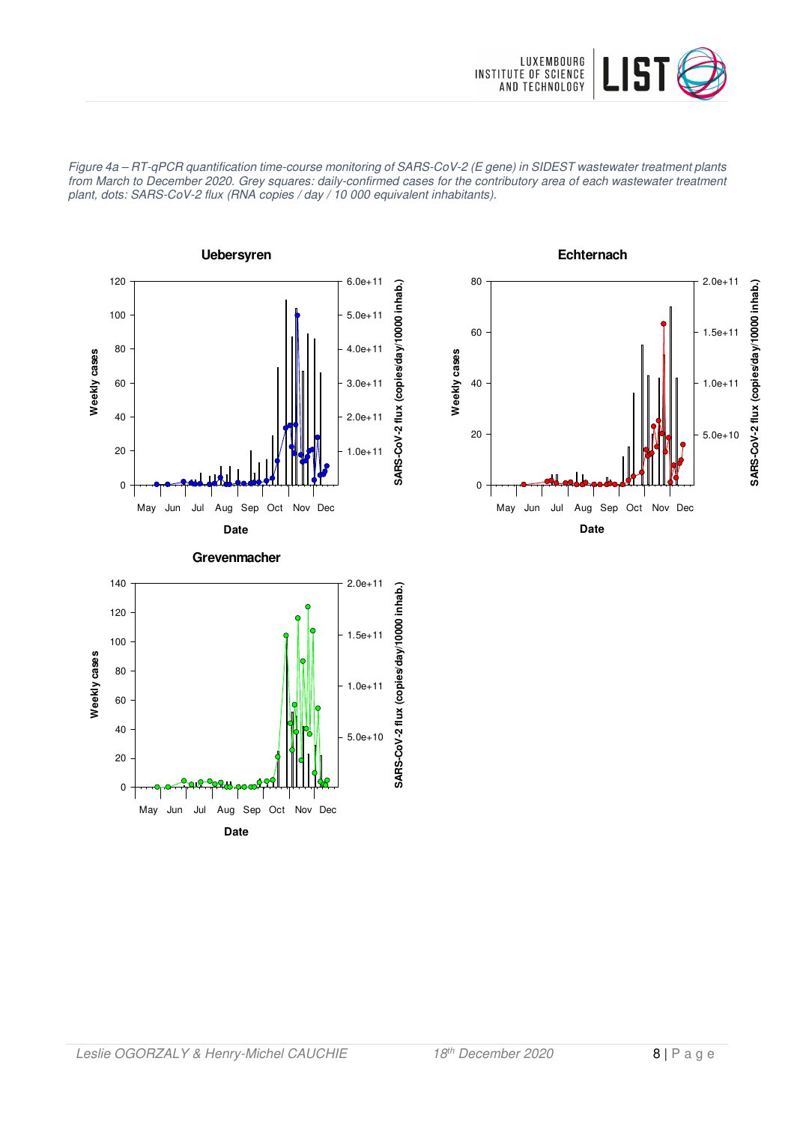

Figure 4a – RT-qPCR quantification time-course monitoring of SARS-CoV-2 (E gene) in SIDEST wastewater treatment plants from March to December 2020. Grey squares: daily-confirmed cases for the contributory area of each wastewater treatment plant, dots: SARS-CoV-2 flux (RNA copies / day / 10 000 equivalent inhabitants).





**Echternach**

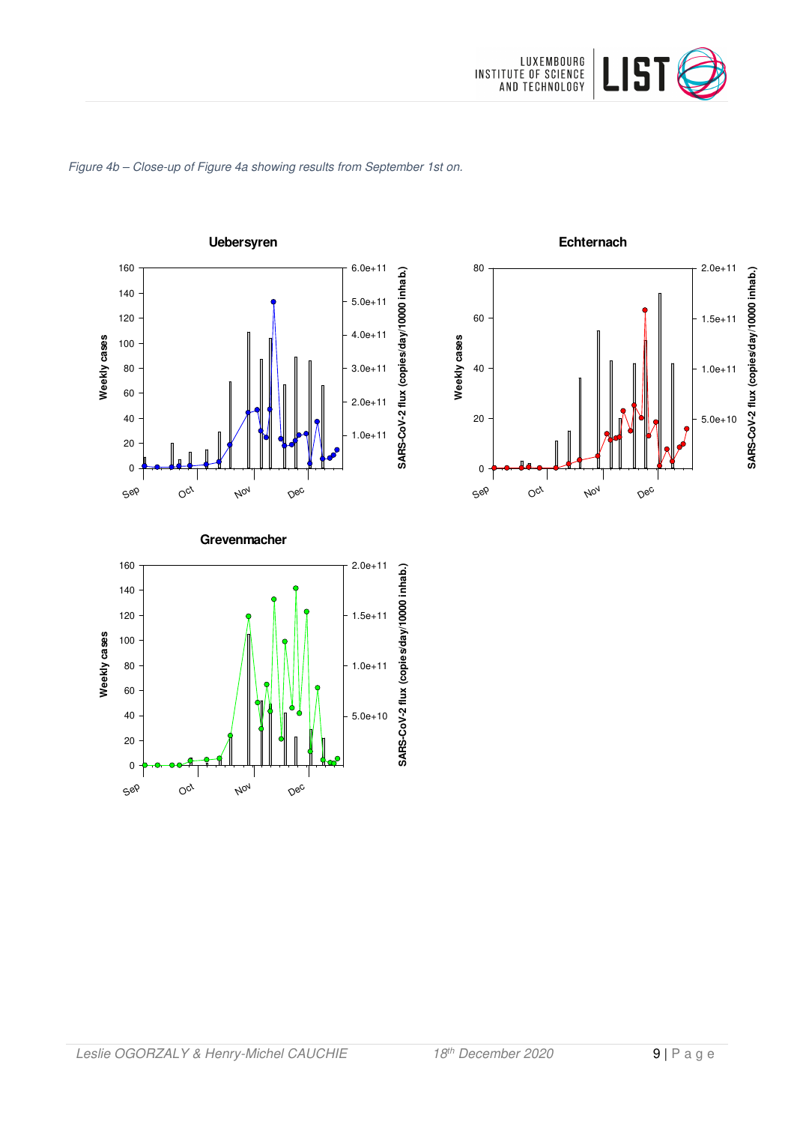

### Figure 4b – Close-up of Figure 4a showing results from September 1st on.





#### **Grevenmacher**

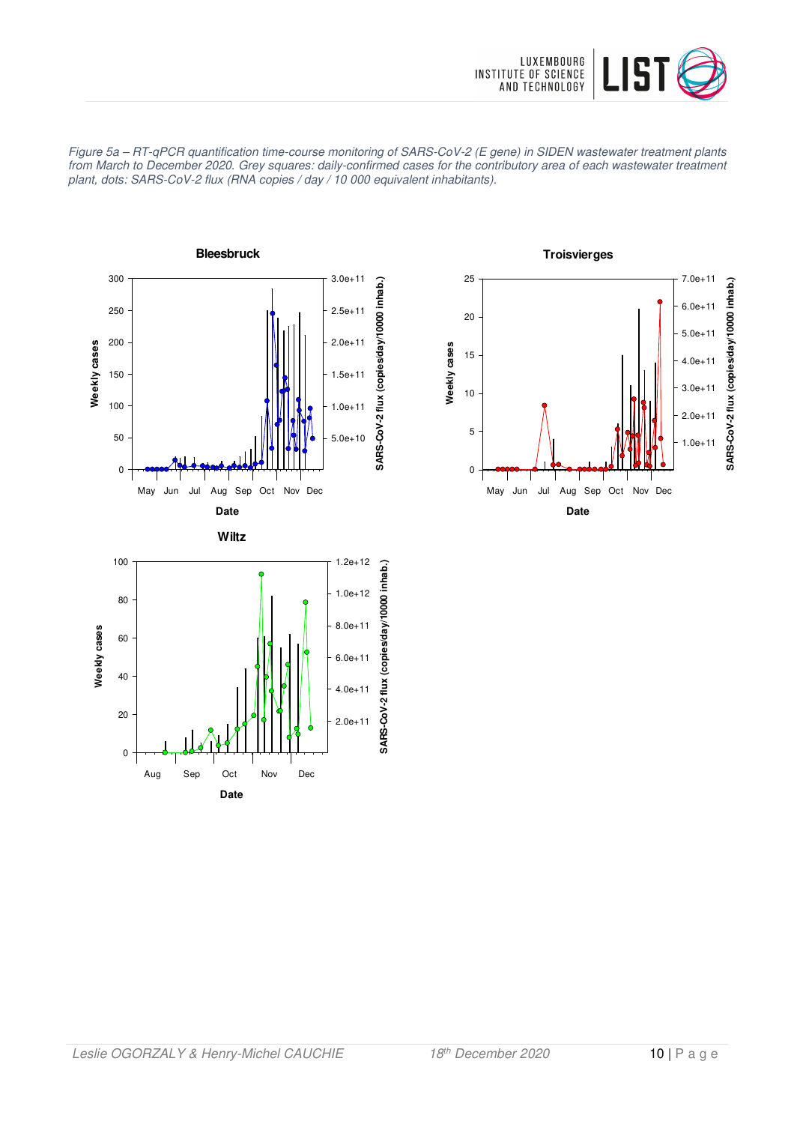





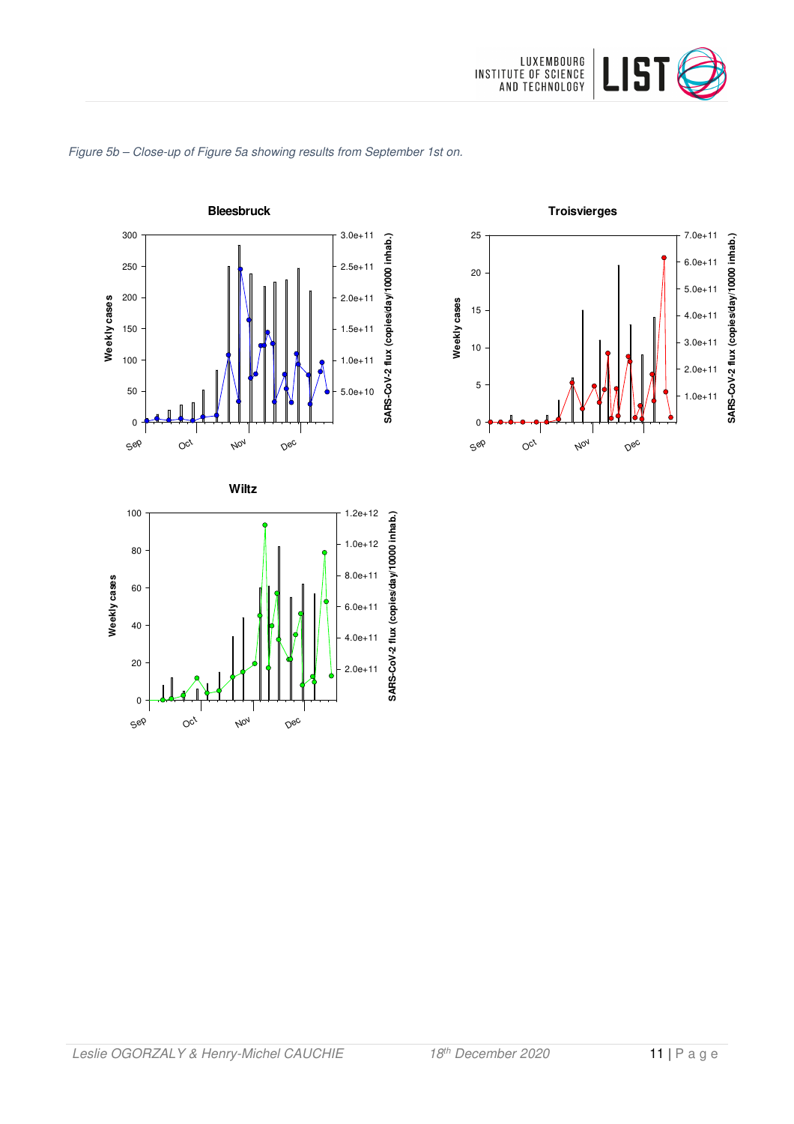







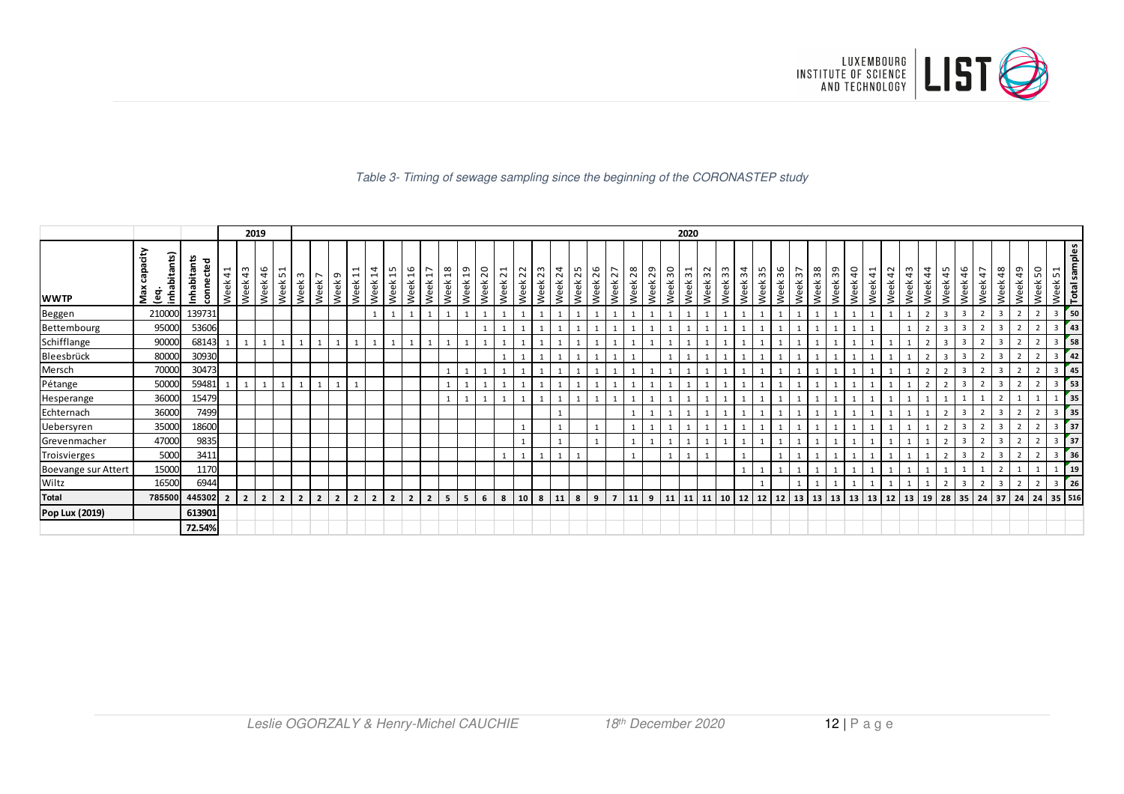

### Table 3- Timing of sewage sampling since the beginning of the CORONASTEP study

|                     |                                        |                          |                          |                               | 2019           |                                                    |                  |                        |                   |                                       |                          |                                       |                       |                                                    |                       |                         |            |                        |                    |            |                 |         |            |            |            |            |         | 2020                  |            |            |            |            |         |                       |         |           |            |                        |            |            |               |                             |                |                |                       |                |                          |                         |                      |
|---------------------|----------------------------------------|--------------------------|--------------------------|-------------------------------|----------------|----------------------------------------------------|------------------|------------------------|-------------------|---------------------------------------|--------------------------|---------------------------------------|-----------------------|----------------------------------------------------|-----------------------|-------------------------|------------|------------------------|--------------------|------------|-----------------|---------|------------|------------|------------|------------|---------|-----------------------|------------|------------|------------|------------|---------|-----------------------|---------|-----------|------------|------------------------|------------|------------|---------------|-----------------------------|----------------|----------------|-----------------------|----------------|--------------------------|-------------------------|----------------------|
| <b>WWTP</b>         | ćity<br>inhabitants)<br>දී<br>Max<br>ē | Inhabitants<br>connected | $\overline{4}$<br>Week   | $\omega$<br>$\vec{a}$<br>Week | 46<br>Week     | $\overline{\phantom{0}}$<br>$\overline{2}$<br>Week | $\omega$<br>Week | $\overline{ }$<br>Week | $\sigma$<br>Week! | ⊣<br>$\overline{\phantom{0}}$<br>Week | 4<br>Week                | ഗ<br>$\overline{\phantom{0}}$<br>Week | $\frac{6}{1}$<br>Week | $\overline{ }$<br>$\overline{\phantom{0}}$<br>Week | $\frac{8}{1}$<br>Week | $\overline{a}$<br>Week: | 20<br>Week | $\overline{z}$<br>Week | Week <sub>22</sub> | 23<br>Week | $^{24}$<br>Week | Week 25 | 26<br>Week | 27<br>Week | 28<br>Week | 29<br>Week | Week 30 | $\frac{1}{2}$<br>Week | 32<br>Week | 33<br>Week | 34<br>Week | 35<br>Week | Week 36 | $\frac{2}{3}$<br>Week | Week 38 | ဥ<br>Week | 40<br>Week | $\overline{4}$<br>Week | 42<br>Week | \$<br>Week | 44<br>Week    | ഹ<br>$\overline{4}$<br>Week | 46<br>Week     | 47<br>Week     | $\frac{8}{3}$<br>Week | 49<br>Week     | 50<br>Week               | Week 51                 | <b>Total samples</b> |
| Beggen              | 210000                                 | 139731                   |                          |                               |                |                                                    |                  |                        |                   |                                       |                          |                                       |                       |                                                    |                       |                         |            |                        |                    |            |                 |         |            |            |            |            |         |                       |            |            |            |            |         |                       |         |           |            |                        |            |            |               | $\overline{3}$              | $\overline{3}$ |                |                       | $\overline{2}$ |                          | 3                       | 50                   |
| Bettembourg         | 95000                                  | 53606                    |                          |                               |                |                                                    |                  |                        |                   |                                       |                          |                                       |                       |                                                    |                       |                         |            |                        |                    |            |                 |         |            |            |            |            |         |                       |            |            |            |            |         |                       |         |           |            |                        |            |            |               |                             |                |                |                       |                |                          |                         | 43                   |
| Schifflange         | 90000                                  | 68143                    |                          |                               |                |                                                    |                  |                        |                   |                                       |                          |                                       |                       |                                                    |                       |                         |            |                        |                    |            |                 |         |            |            |            |            |         |                       |            |            |            |            |         |                       |         |           |            |                        |            |            |               | $\overline{\mathbf{3}}$     | $\overline{3}$ | $\overline{2}$ |                       | $\overline{2}$ |                          | 3                       | 58                   |
| Bleesbrück          | 80000                                  | 30930                    |                          |                               |                |                                                    |                  |                        |                   |                                       |                          |                                       |                       |                                                    |                       |                         |            |                        |                    |            |                 |         |            |            |            |            |         |                       |            |            |            |            |         |                       |         |           |            |                        |            |            | $\mathcal{P}$ |                             |                |                |                       |                |                          | 3                       | 42                   |
| Mersch              | 70000                                  | 30473                    |                          |                               |                |                                                    |                  |                        |                   |                                       |                          |                                       |                       |                                                    | $\mathbf{1}$          |                         |            |                        |                    |            |                 |         |            |            |            |            |         |                       |            |            |            |            |         |                       |         |           |            |                        |            |            |               |                             | $\overline{3}$ |                |                       | $\overline{2}$ |                          | 3                       | 45                   |
| Pétange             | 50000                                  | 59481                    |                          |                               |                |                                                    |                  |                        |                   |                                       |                          |                                       |                       |                                                    |                       |                         |            |                        |                    |            |                 |         |            |            |            |            |         |                       |            |            |            |            |         |                       |         |           |            |                        |            |            |               |                             | 3              | $\mathcal{D}$  |                       | $\overline{2}$ | 2                        | 3                       | 53                   |
| Hesperange          | 36000                                  | 15479                    |                          |                               |                |                                                    |                  |                        |                   |                                       |                          |                                       |                       |                                                    |                       |                         |            |                        |                    |            |                 |         |            |            |            |            |         |                       |            |            |            |            |         |                       |         |           |            |                        |            |            |               |                             |                |                |                       |                |                          |                         | 35                   |
| Echternach          | 36000                                  | 7499                     |                          |                               |                |                                                    |                  |                        |                   |                                       |                          |                                       |                       |                                                    |                       |                         |            |                        |                    |            |                 |         |            |            |            |            |         |                       |            |            |            |            |         |                       |         |           |            |                        |            |            |               |                             | $\overline{3}$ |                |                       |                |                          | 3                       | 35                   |
| Uebersyren          | 35000                                  | 18600                    |                          |                               |                |                                                    |                  |                        |                   |                                       |                          |                                       |                       |                                                    |                       |                         |            |                        |                    |            |                 |         |            |            |            |            |         |                       |            |            |            |            |         |                       |         |           |            |                        |            |            |               |                             |                |                |                       |                |                          |                         | 37                   |
| Grevenmacher        | 47000                                  | 9835                     |                          |                               |                |                                                    |                  |                        |                   |                                       |                          |                                       |                       |                                                    |                       |                         |            |                        |                    |            |                 |         |            |            |            |            |         |                       |            |            |            |            |         |                       |         |           |            |                        |            |            |               |                             | $\overline{3}$ | 2              | $\mathbf{a}$          | $\overline{2}$ | $\overline{2}$           | $\overline{\mathbf{3}}$ | 37                   |
| Troisvierges        | 5000                                   | 3411                     |                          |                               |                |                                                    |                  |                        |                   |                                       |                          |                                       |                       |                                                    |                       |                         |            |                        |                    |            |                 |         |            |            |            |            |         |                       |            |            |            |            |         |                       |         |           |            |                        |            |            |               |                             | $\overline{3}$ |                |                       |                |                          | $\overline{3}$          | 36                   |
| Boevange sur Attert | 15000                                  | 1170                     |                          |                               |                |                                                    |                  |                        |                   |                                       |                          |                                       |                       |                                                    |                       |                         |            |                        |                    |            |                 |         |            |            |            |            |         |                       |            |            |            |            |         |                       |         |           |            |                        |            |            |               |                             |                |                |                       |                |                          |                         | <sup>19</sup>        |
| Wiltz               | 16500                                  | 6944                     |                          |                               |                |                                                    |                  |                        |                   |                                       |                          |                                       |                       |                                                    |                       |                         |            |                        |                    |            |                 |         |            |            |            |            |         |                       |            |            |            |            |         |                       |         |           |            |                        |            |            |               |                             | $\overline{3}$ | $\overline{2}$ |                       | $\overline{2}$ | $\overline{\phantom{0}}$ | 3                       | 26                   |
| <b>Total</b>        | 785500                                 | 445302                   | $\overline{\phantom{a}}$ | 2 <sup>1</sup>                | $\overline{2}$ | $\overline{2}$                                     | $\overline{2}$   |                        | $\overline{2}$    |                                       | $\overline{\phantom{a}}$ | $\overline{\phantom{a}}$              |                       | $\overline{2}$                                     | - 5                   | 5                       | 6          | 8                      | 10                 | 8          | 11              | 8       | 9          |            | 11         | 9          | 11      | 11                    | 11         | 10         | 12         | 12         | 12      | 13                    | 13      | 13        | 13         | 13                     | 12         | 13         | 19            | 28                          | 35             | $24$ 37        |                       | 24             | 24                       | 35 516                  |                      |
| Pop Lux (2019)      |                                        | 613901                   |                          |                               |                |                                                    |                  |                        |                   |                                       |                          |                                       |                       |                                                    |                       |                         |            |                        |                    |            |                 |         |            |            |            |            |         |                       |            |            |            |            |         |                       |         |           |            |                        |            |            |               |                             |                |                |                       |                |                          |                         |                      |
|                     |                                        | 72.54%                   |                          |                               |                |                                                    |                  |                        |                   |                                       |                          |                                       |                       |                                                    |                       |                         |            |                        |                    |            |                 |         |            |            |            |            |         |                       |            |            |            |            |         |                       |         |           |            |                        |            |            |               |                             |                |                |                       |                |                          |                         |                      |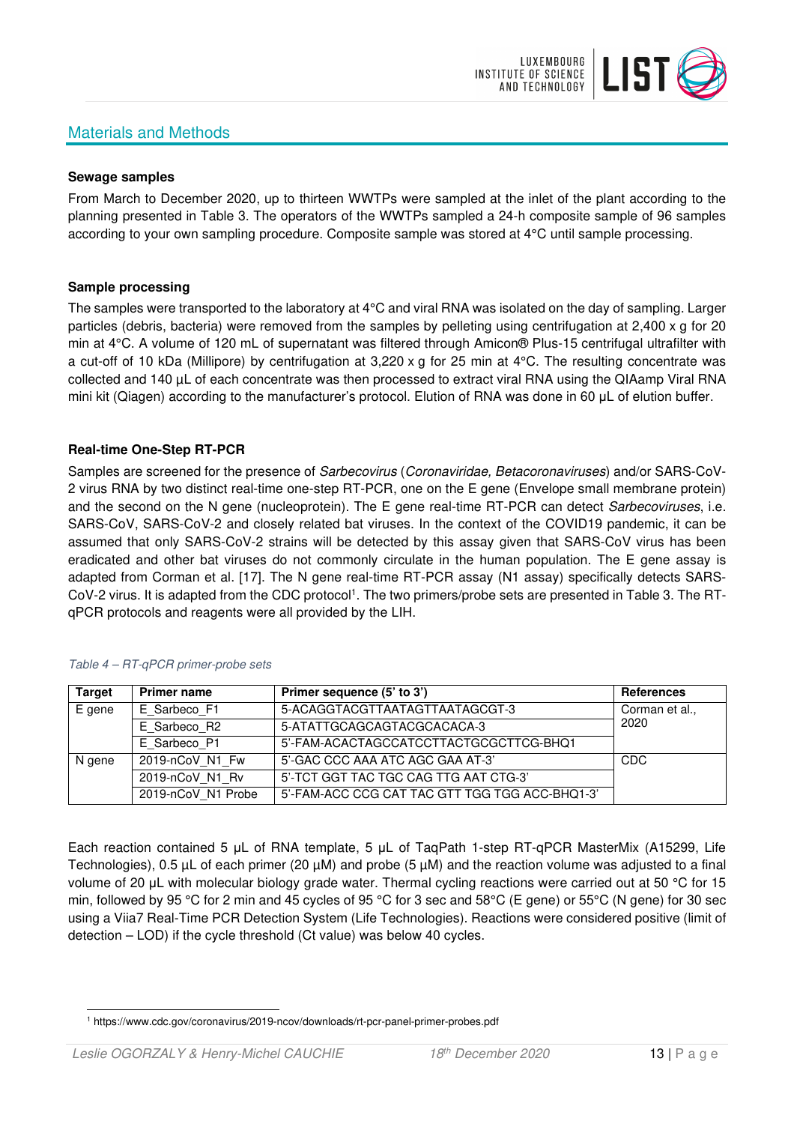## Materials and Methods



### **Sewage samples**

From March to December 2020, up to thirteen WWTPs were sampled at the inlet of the plant according to the planning presented in Table 3. The operators of the WWTPs sampled a 24-h composite sample of 96 samples according to your own sampling procedure. Composite sample was stored at 4°C until sample processing.

### **Sample processing**

The samples were transported to the laboratory at 4°C and viral RNA was isolated on the day of sampling. Larger particles (debris, bacteria) were removed from the samples by pelleting using centrifugation at 2,400 x g for 20 min at 4°C. A volume of 120 mL of supernatant was filtered through Amicon® Plus-15 centrifugal ultrafilter with a cut-off of 10 kDa (Millipore) by centrifugation at 3,220 x g for 25 min at 4°C. The resulting concentrate was collected and 140 µL of each concentrate was then processed to extract viral RNA using the QIAamp Viral RNA mini kit (Qiagen) according to the manufacturer's protocol. Elution of RNA was done in 60 μL of elution buffer.

### **Real-time One-Step RT-PCR**

Samples are screened for the presence of *Sarbecovirus (Coronaviridae, Betacoronaviruses*) and/or SARS-CoV-2 virus RNA by two distinct real-time one-step RT-PCR, one on the E gene (Envelope small membrane protein) and the second on the N gene (nucleoprotein). The E gene real-time RT-PCR can detect Sarbecoviruses, i.e. SARS-CoV, SARS-CoV-2 and closely related bat viruses. In the context of the COVID19 pandemic, it can be assumed that only SARS-CoV-2 strains will be detected by this assay given that SARS-CoV virus has been eradicated and other bat viruses do not commonly circulate in the human population. The E gene assay is adapted from Corman et al. [17]. The N gene real-time RT-PCR assay (N1 assay) specifically detects SARS-CoV-2 virus. It is adapted from the CDC protocol<sup>1</sup>. The two primers/probe sets are presented in Table 3. The RTqPCR protocols and reagents were all provided by the LIH.

| <b>Target</b> | <b>Primer name</b> | Primer sequence (5' to 3')                     | <b>References</b> |
|---------------|--------------------|------------------------------------------------|-------------------|
| E gene        | E Sarbeco F1       | 5-ACAGGTACGTTAATAGTTAATAGCGT-3                 | Corman et al.,    |
|               | E Sarbeco R2       | 5-ATATTGCAGCAGTACGCACACA-3                     | 2020              |
|               | E Sarbeco P1       | 5'-FAM-ACACTAGCCATCCTTACTGCGCTTCG-BHQ1         |                   |
| N gene        | 2019-nCoV N1 Fw    | 5'-GAC CCC AAA ATC AGC GAA AT-3'               | <b>CDC</b>        |
|               | 2019-nCoV N1 Rv    | 5'-TCT GGT TAC TGC CAG TTG AAT CTG-3'          |                   |
|               | 2019-nCoV N1 Probe | 5'-FAM-ACC CCG CAT TAC GTT TGG TGG ACC-BHQ1-3' |                   |

### Table 4 – RT-qPCR primer-probe sets

Each reaction contained 5 μL of RNA template, 5 μL of TaqPath 1-step RT-qPCR MasterMix (A15299, Life Technologies), 0.5 µL of each primer (20 µM) and probe (5 µM) and the reaction volume was adjusted to a final volume of 20 μL with molecular biology grade water. Thermal cycling reactions were carried out at 50 °C for 15 min, followed by 95 °C for 2 min and 45 cycles of 95 °C for 3 sec and 58°C (E gene) or 55°C (N gene) for 30 sec using a Viia7 Real-Time PCR Detection System (Life Technologies). Reactions were considered positive (limit of detection – LOD) if the cycle threshold (Ct value) was below 40 cycles.

<sup>1</sup> https://www.cdc.gov/coronavirus/2019-ncov/downloads/rt-pcr-panel-primer-probes.pdf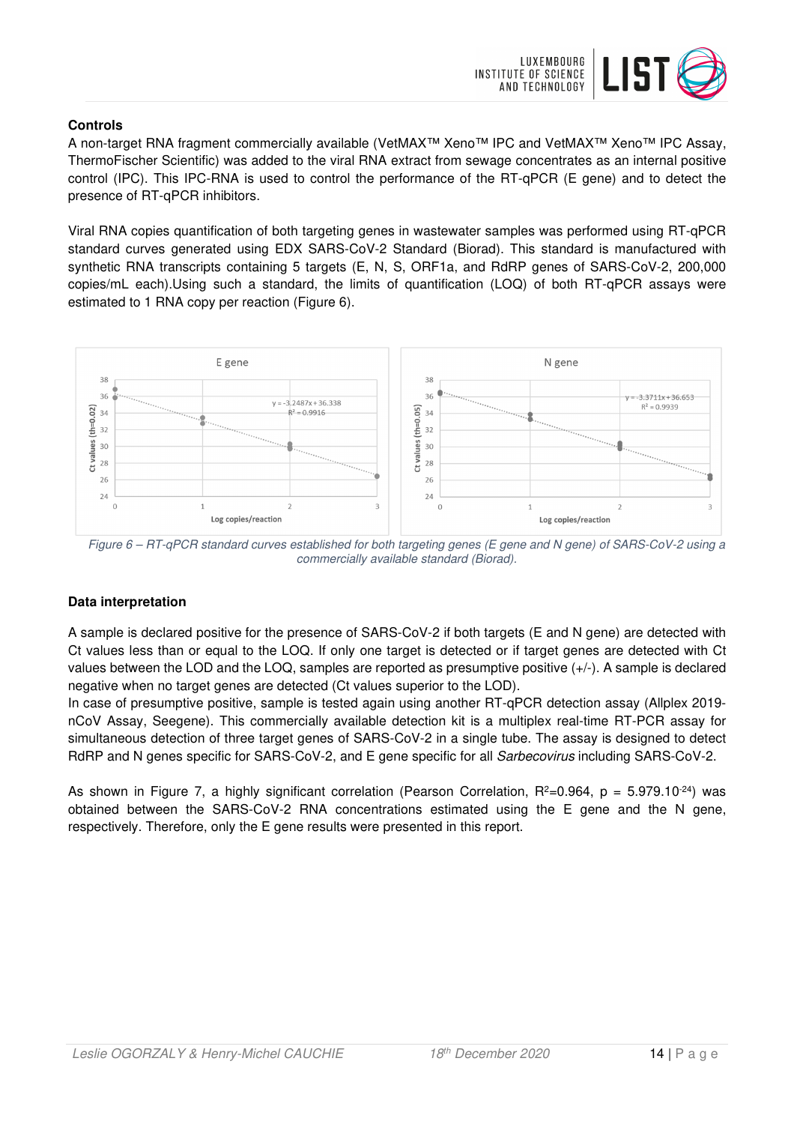

### **Controls**

A non-target RNA fragment commercially available (VetMAX™ Xeno™ IPC and VetMAX™ Xeno™ IPC Assay, ThermoFischer Scientific) was added to the viral RNA extract from sewage concentrates as an internal positive control (IPC). This IPC-RNA is used to control the performance of the RT-qPCR (E gene) and to detect the presence of RT-qPCR inhibitors.

Viral RNA copies quantification of both targeting genes in wastewater samples was performed using RT-qPCR standard curves generated using EDX SARS-CoV-2 Standard (Biorad). This standard is manufactured with synthetic RNA transcripts containing 5 targets (E, N, S, ORF1a, and RdRP genes of SARS-CoV-2, 200,000 copies/mL each).Using such a standard, the limits of quantification (LOQ) of both RT-qPCR assays were estimated to 1 RNA copy per reaction (Figure 6).



Figure 6 – RT-qPCR standard curves established for both targeting genes (E gene and N gene) of SARS-CoV-2 using a commercially available standard (Biorad).

### **Data interpretation**

A sample is declared positive for the presence of SARS-CoV-2 if both targets (E and N gene) are detected with Ct values less than or equal to the LOQ. If only one target is detected or if target genes are detected with Ct values between the LOD and the LOQ, samples are reported as presumptive positive (+/-). A sample is declared negative when no target genes are detected (Ct values superior to the LOD).

In case of presumptive positive, sample is tested again using another RT-qPCR detection assay (Allplex 2019 nCoV Assay, Seegene). This commercially available detection kit is a multiplex real-time RT-PCR assay for simultaneous detection of three target genes of SARS-CoV-2 in a single tube. The assay is designed to detect RdRP and N genes specific for SARS-CoV-2, and E gene specific for all Sarbecovirus including SARS-CoV-2.

As shown in Figure 7, a highly significant correlation (Pearson Correlation,  $R^2=0.964$ ,  $p = 5.979.10^{-24}$ ) was obtained between the SARS-CoV-2 RNA concentrations estimated using the E gene and the N gene, respectively. Therefore, only the E gene results were presented in this report.